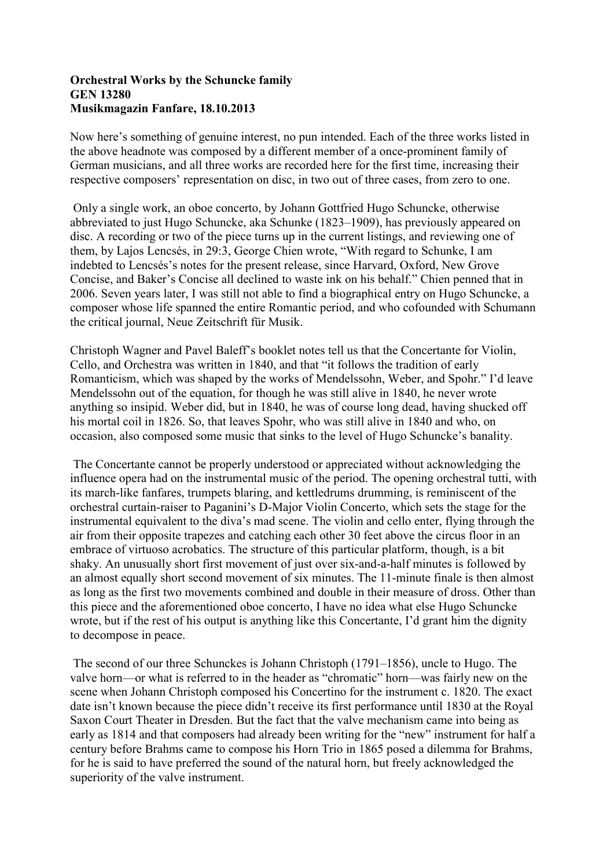## **Orchestral Works by the Schuncke family GEN13280 MusikmagazinFanfare,18.10.2013**

Now here's something of genuine interest, no pun intended. Each of the three works listed in the above headnote was composed by a different member of a once-prominent family of German musicians, and all three works are recorded here for the first time, increasing their respective composers' representation on disc, in two out of three cases, from zero to one.

Only a single work, an oboe concerto, by Johann Gottfried Hugo Schuncke, otherwise abbreviated to just Hugo Schuncke, aka Schunke (1823–1909), has previously appeared on disc. A recording or two of the piece turns up in the current listings, and reviewing one of them, by Lajos Lencsés, in 29:3, George Chien wrote, "With regard to Schunke, I am indebted to Lencsés's notes for the present release, since Harvard, Oxford, New Grove Concise, and Baker's Concise all declined to waste ink on his behalf." Chien penned that in 2006. Seven years later, I was still not able to find a biographical entry on Hugo Schuncke, a composer whose life spanned the entire Romantic period, and who cofounded with Schumann the critical journal, Neue Zeitschrift für Musik.

Christoph Wagner and Pavel Baleff's booklet notes tell us that the Concertante for Violin, Cello, and Orchestra was written in 1840, and that "it follows the tradition of early Romanticism, which was shaped by the works of Mendelssohn, Weber, and Spohr." I'd leave Mendelssohn out of the equation, for though he was still alive in 1840, he never wrote anything so insipid. Weber did, but in 1840, he was of course long dead, having shucked off his mortal coil in 1826. So, that leaves Spohr, who was still alive in 1840 and who, on occasion, also composed some music that sinks to the level of Hugo Schuncke's banality.

The Concertante cannot be properly understood or appreciated without acknowledging the influence opera had on the instrumental music of the period. The opening orchestral tutti, with its march-like fanfares, trumpets blaring, and kettledrums drumming, is reminiscent of the orchestral curtain-raiser to Paganini's D-Major Violin Concerto, which sets the stage for the instrumental equivalent to the diva's mad scene. The violin and cello enter, flying through the air from their opposite trapezes and catching each other 30 feet above the circus floor in an embrace of virtuoso acrobatics. The structure of this particular platform, though, is a bit shaky. An unusually short first movement of just over six-and-a-half minutes is followed by an almost equally short second movement of six minutes. The 11-minute finale is then almost as long as the first two movements combined and double in their measure of dross. Other than this piece and the aforementioned oboe concerto, I have no idea what else Hugo Schuncke wrote, but if the rest of his output is anything like this Concertante, I'd grant him the dignity to decompose in peace.

The second of our three Schunckes is Johann Christoph (1791–1856), uncle to Hugo. The valve horn—or what is referred to in the header as "chromatic" horn—was fairly new on the scene when Johann Christoph composed his Concertino for the instrument c. 1820. The exact date isn't known because the piece didn't receive its first performance until 1830 at the Royal Saxon Court Theater in Dresden. But the fact that the valve mechanism came into being as early as 1814 and that composers had already been writing for the "new" instrument for half a century before Brahms came to compose his Horn Trio in 1865 posed a dilemma for Brahms, for he is said to have preferred the sound of the natural horn, but freely acknowledged the superiority of the valve instrument.